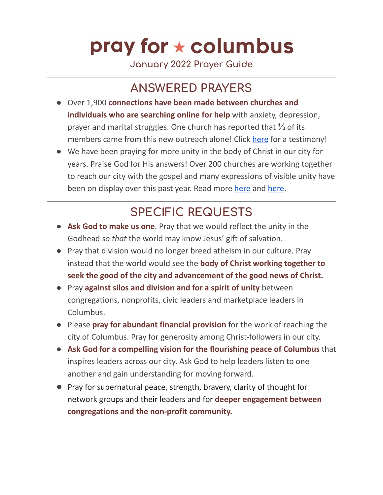# pray for  $\star$  columbus

**January 2022 Prayer Guide**

#### **ANSWERED PRAYERS**

- Over 1,900 **connections have been made between churches and individuals who are searching online for help** with anxiety, depression, prayer and marital struggles. One church has reported that ⅓ of its members came from this new outreach alone! Click [here](https://www.youtube.com/watch?v=e1mNykNYDZE) for a testimony!
- We have been praying for more unity in the body of Christ in our city for years. Praise God for His answers! Over 200 churches are working together to reach our city with the gospel and many expressions of visible unity have been on display over this past year. Read more [here](https://www.unifieddt.com/) and here.

### **SPECIFIC REQUESTS**

- **Ask God to make us one**. Pray that we would reflect the unity in the Godhead *so that* the world may know Jesus' gift of salvation.
- Pray that division would no longer breed atheism in our culture. Pray instead that the world would see the **body of Christ working together to seek the good of the city and advancement of the good news of Christ.**
- Pray **against silos and division and for a spirit of unity** between congregations, nonprofits, civic leaders and marketplace leaders in Columbus.
- Please **pray for abundant financial provision** for the work of reaching the city of Columbus. Pray for generosity among Christ-followers in our city.
- **Ask God for a compelling vision for the flourishing peace of Columbus** that inspires leaders across our city. Ask God to help leaders listen to one another and gain understanding for moving forward.
- Pray for supernatural peace, strength, bravery, clarity of thought for network groups and their leaders and for **deeper engagement between congregations and the non-profit community.**